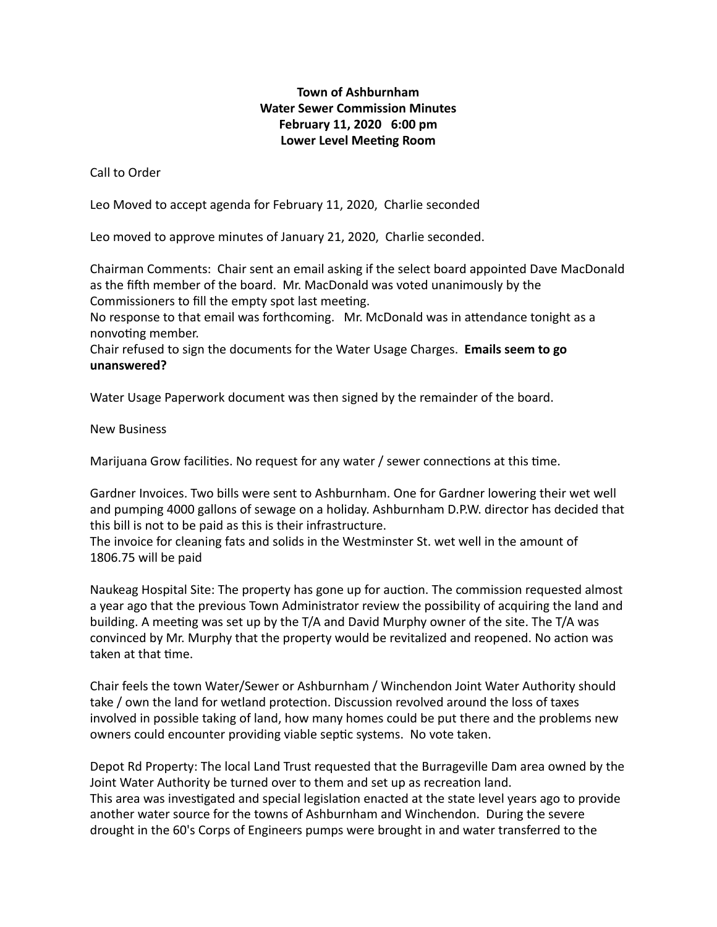## **Town of Ashburnham Water Sewer Commission Minutes February 11, 2020 6:00 pm** Lower Level Meeting Room

Call to Order

Leo Moved to accept agenda for February 11, 2020, Charlie seconded

Leo moved to approve minutes of January 21, 2020, Charlie seconded.

Chairman Comments: Chair sent an email asking if the select board appointed Dave MacDonald as the fifth member of the board. Mr. MacDonald was voted unanimously by the Commissioners to fill the empty spot last meeting.

No response to that email was forthcoming. Mr. McDonald was in attendance tonight as a nonvoting member.

Chair refused to sign the documents for the Water Usage Charges. **Emails seem to go unanswered?** 

Water Usage Paperwork document was then signed by the remainder of the board.

New Business

Marijuana Grow facilities. No request for any water / sewer connections at this time.

Gardner Invoices. Two bills were sent to Ashburnham. One for Gardner lowering their wet well and pumping 4000 gallons of sewage on a holiday. Ashburnham D.P.W. director has decided that this bill is not to be paid as this is their infrastructure.

The invoice for cleaning fats and solids in the Westminster St. wet well in the amount of 1806.75 will be paid

Naukeag Hospital Site: The property has gone up for auction. The commission requested almost a year ago that the previous Town Administrator review the possibility of acquiring the land and building. A meeting was set up by the T/A and David Murphy owner of the site. The T/A was convinced by Mr. Murphy that the property would be revitalized and reopened. No action was taken at that time.

Chair feels the town Water/Sewer or Ashburnham / Winchendon Joint Water Authority should take / own the land for wetland protection. Discussion revolved around the loss of taxes involved in possible taking of land, how many homes could be put there and the problems new owners could encounter providing viable septic systems. No vote taken.

Depot Rd Property: The local Land Trust requested that the Burrageville Dam area owned by the Joint Water Authority be turned over to them and set up as recreation land. This area was investigated and special legislation enacted at the state level years ago to provide another water source for the towns of Ashburnham and Winchendon. During the severe drought in the 60's Corps of Engineers pumps were brought in and water transferred to the